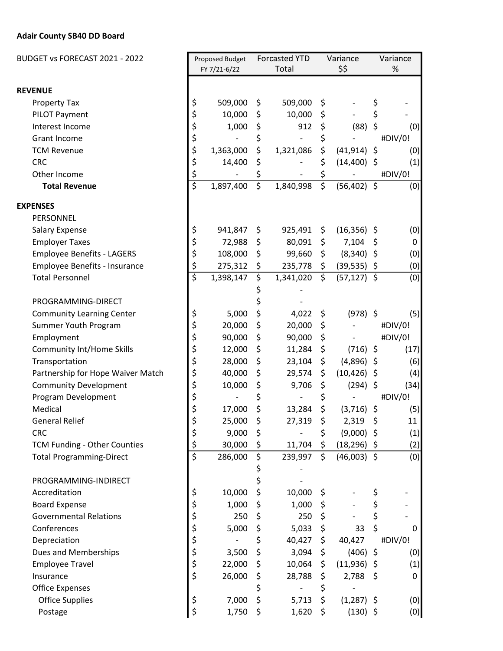## **Adair County SB40 DD Board**

| BUDGET vs FORECAST 2021 - 2022    |                         | Proposed Budget |          | <b>Forcasted YTD</b>     |                           | Variance       |    | Variance |  |
|-----------------------------------|-------------------------|-----------------|----------|--------------------------|---------------------------|----------------|----|----------|--|
|                                   |                         | FY 7/21-6/22    |          | Total                    |                           | \$\$           |    | $\%$     |  |
| <b>REVENUE</b>                    |                         |                 |          |                          |                           |                |    |          |  |
| <b>Property Tax</b>               | \$                      | 509,000         | \$       | 509,000                  | \$                        |                | \$ |          |  |
| PILOT Payment                     | \$                      | 10,000          | \$       | 10,000                   | \$                        |                | \$ |          |  |
| Interest Income                   | \$                      | 1,000           | \$       | 912                      | \$                        | (88)           | \$ | (0)      |  |
| <b>Grant Income</b>               | \$                      |                 | \$       | $\overline{\phantom{a}}$ | \$                        |                |    | #DIV/0!  |  |
| <b>TCM Revenue</b>                | \$                      | 1,363,000       | \$       | 1,321,086                | \$                        | $(41, 914)$ \$ |    | (0)      |  |
| <b>CRC</b>                        | \$                      | 14,400          | \$       |                          | \$                        | $(14,400)$ \$  |    | (1)      |  |
| Other Income                      | \$                      |                 | \$       |                          | \$                        |                |    | #DIV/0!  |  |
| <b>Total Revenue</b>              | $\overline{\mathsf{s}}$ | 1,897,400       | \$       | 1,840,998                | \$                        | $(56, 402)$ \$ |    | (0)      |  |
| <b>EXPENSES</b>                   |                         |                 |          |                          |                           |                |    |          |  |
| PERSONNEL                         |                         |                 |          |                          |                           |                |    |          |  |
| <b>Salary Expense</b>             | \$                      | 941,847         | \$       | 925,491                  | \$                        | $(16,356)$ \$  |    | (0)      |  |
| <b>Employer Taxes</b>             | \$                      | 72,988          | \$       | 80,091                   | \$                        | 7,104          |    | 0        |  |
| <b>Employee Benefits - LAGERS</b> | \$                      | 108,000         |          |                          |                           |                | \$ |          |  |
|                                   |                         |                 | \$       | 99,660                   | $\zeta$                   | $(8,340)$ \$   |    | (0)      |  |
| Employee Benefits - Insurance     | \$<br>\$                | 275,312         | \$<br>\$ | 235,778                  | $\ddot{\zeta}$<br>$\zeta$ | $(39,535)$ \$  |    | (0)      |  |
| <b>Total Personnel</b>            |                         | 1,398,147       |          | 1,341,020                |                           | $(57, 127)$ \$ |    | (0)      |  |
|                                   |                         |                 |          |                          |                           |                |    |          |  |
| PROGRAMMING-DIRECT                |                         |                 |          |                          |                           |                |    |          |  |
| <b>Community Learning Center</b>  | \$                      | 5,000           | \$       | 4,022                    | \$                        | $(978)$ \$     |    | (5)      |  |
| Summer Youth Program              | \$                      | 20,000          | \$       | 20,000                   | \$                        |                |    | #DIV/0!  |  |
| Employment                        | \$                      | 90,000          | \$       | 90,000                   | $\ddot{\phi}$             |                |    | #DIV/0!  |  |
| <b>Community Int/Home Skills</b>  | \$                      | 12,000          | \$       | 11,284                   | \$                        | $(716)$ \$     |    | (17)     |  |
| Transportation                    | \$                      | 28,000          | \$       | 23,104                   | \$                        | $(4,896)$ \$   |    | (6)      |  |
| Partnership for Hope Waiver Match | \$                      | 40,000          | \$       | 29,574                   | \$                        | $(10, 426)$ \$ |    | (4)      |  |
| <b>Community Development</b>      | \$                      | 10,000          | \$       | 9,706                    | \$                        | $(294)$ \$     |    | (34)     |  |
| Program Development               | \$                      |                 | \$       |                          | \$                        |                |    | #DIV/0!  |  |
| Medical                           | \$                      | 17,000          | \$       | 13,284                   | \$                        | $(3,716)$ \$   |    | (5)      |  |
| <b>General Relief</b>             | \$                      | 25,000          | \$       | 27,319                   | \$                        | 2,319          | \$ | 11       |  |
| <b>CRC</b>                        | \$                      | 9,000           | \$       |                          | \$                        | $(9,000)$ \$   |    | (1)      |  |
| TCM Funding - Other Counties      | \$                      | 30,000          | \$       | 11,704                   | \$                        | $(18, 296)$ \$ |    | (2)      |  |
| <b>Total Programming-Direct</b>   | $\overline{\xi}$        | 286,000         | \$       | 239,997                  | $\mathsf{S}$              | $(46,003)$ \$  |    | (0)      |  |
| PROGRAMMING-INDIRECT              |                         |                 | \$<br>\$ |                          |                           |                |    |          |  |
| Accreditation                     | \$                      | 10,000          | \$       | 10,000                   | \$                        |                | \$ |          |  |
| <b>Board Expense</b>              | \$                      | 1,000           | \$       | 1,000                    | \$                        |                | \$ |          |  |
| <b>Governmental Relations</b>     | \$                      | 250             | \$       | 250                      | \$                        |                | \$ |          |  |
| Conferences                       | \$                      | 5,000           | \$       | 5,033                    | \$                        | 33             | \$ | 0        |  |
| Depreciation                      | \$                      |                 | \$       | 40,427                   | $\ddot{\zeta}$            | 40,427         |    | #DIV/0!  |  |
| Dues and Memberships              | \$                      | 3,500           | \$       | 3,094                    | \$                        | $(406)$ \$     |    | (0)      |  |
| <b>Employee Travel</b>            | \$                      | 22,000          | \$       | 10,064                   | \$                        | $(11,936)$ \$  |    | (1)      |  |
| Insurance                         | \$                      | 26,000          | \$       | 28,788                   | \$                        | $2,788$ \$     |    | 0        |  |
| <b>Office Expenses</b>            |                         |                 | \$       |                          | \$                        |                |    |          |  |
| <b>Office Supplies</b>            | \$                      | 7,000           | \$       | 5,713                    | \$                        | $(1,287)$ \$   |    | (0)      |  |
| Postage                           | \$                      | 1,750           | \$       | 1,620                    | \$                        | $(130)$ \$     |    | (0)      |  |
|                                   |                         |                 |          |                          |                           |                |    |          |  |